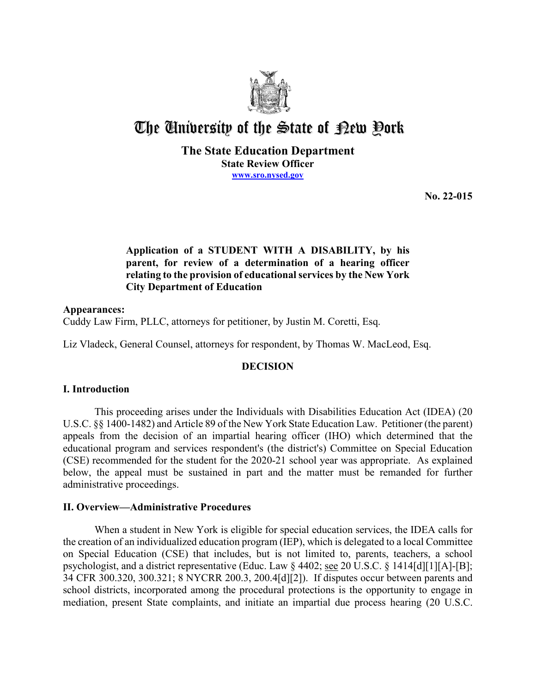

# The University of the State of Pew Pork

**The State Education Department State Review Officer [www.sro.nysed.gov](http://www.sro.nysed.gov/)** 

**No. 22-015** 

# **Application of a STUDENT WITH A DISABILITY, by his parent, for review of a determination of a hearing officer relating to the provision of educational services by the New York City Department of Education**

## **Appearances:**  Cuddy Law Firm, PLLC, attorneys for petitioner, by Justin M. Coretti, Esq.

Liz Vladeck, General Counsel, attorneys for respondent, by Thomas W. MacLeod, Esq.

# **DECISION**

# **I. Introduction**

This proceeding arises under the Individuals with Disabilities Education Act (IDEA) (20 U.S.C. §§ 1400-1482) and Article 89 of the New York State Education Law. Petitioner (the parent) appeals from the decision of an impartial hearing officer (IHO) which determined that the educational program and services respondent's (the district's) Committee on Special Education (CSE) recommended for the student for the 2020-21 school year was appropriate. As explained below, the appeal must be sustained in part and the matter must be remanded for further administrative proceedings.

# **II. Overview—Administrative Procedures**

 the creation of an individualized education program (IEP), which is delegated to a local Committee on Special Education (CSE) that includes, but is not limited to, parents, teachers, a school When a student in New York is eligible for special education services, the IDEA calls for psychologist, and a district representative (Educ. Law § 4402; see 20 U.S.C. § 1414[d][1][A]-[B]; 34 CFR 300.320, 300.321; 8 NYCRR 200.3, 200.4[d][2]). If disputes occur between parents and school districts, incorporated among the procedural protections is the opportunity to engage in mediation, present State complaints, and initiate an impartial due process hearing (20 U.S.C.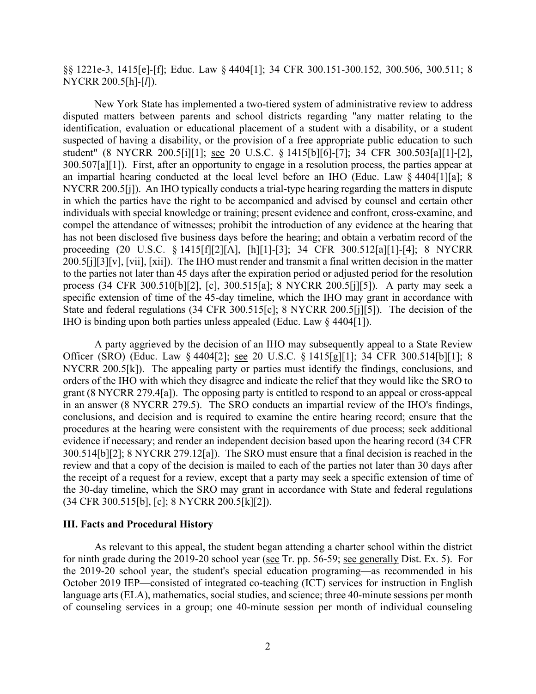§§ 1221e-3, 1415[e]-[f]; Educ. Law § 4404[1]; 34 CFR 300.151-300.152, 300.506, 300.511; 8 NYCRR 200.5[h]-[*l*]).

 disputed matters between parents and school districts regarding "any matter relating to the 300.507[a][1]). First, after an opportunity to engage in a resolution process, the parties appear at NYCRR 200.5[j]). An IHO typically conducts a trial-type hearing regarding the matters in dispute process (34 CFR 300.510[b][2], [c], 300.515[a]; 8 NYCRR 200.5[j][5]). A party may seek a IHO is binding upon both parties unless appealed (Educ. Law § 4404[1]). New York State has implemented a two-tiered system of administrative review to address identification, evaluation or educational placement of a student with a disability, or a student suspected of having a disability, or the provision of a free appropriate public education to such student" (8 NYCRR 200.5[i][1]; see 20 U.S.C. § 1415[b][6]-[7]; 34 CFR 300.503[a][1]-[2], an impartial hearing conducted at the local level before an IHO (Educ. Law § 4404[1][a]; 8 in which the parties have the right to be accompanied and advised by counsel and certain other individuals with special knowledge or training; present evidence and confront, cross-examine, and compel the attendance of witnesses; prohibit the introduction of any evidence at the hearing that has not been disclosed five business days before the hearing; and obtain a verbatim record of the proceeding (20 U.S.C. § 1415[f][2][A], [h][1]-[3]; 34 CFR 300.512[a][1]-[4]; 8 NYCRR 200.5[j][3][v], [vii], [xii]). The IHO must render and transmit a final written decision in the matter to the parties not later than 45 days after the expiration period or adjusted period for the resolution specific extension of time of the 45-day timeline, which the IHO may grant in accordance with State and federal regulations (34 CFR 300.515[c]; 8 NYCRR 200.5[j][5]). The decision of the

Officer (SRO) (Educ. Law § 4404[2]; <u>see</u> 20 U.S.C. § 1415[g][1]; 34 CFR 300.514[b][1]; 8 NYCRR 200.5[k]). The appealing party or parties must identify the findings, conclusions, and 300.514[b][2]; 8 NYCRR 279.12[a]). The SRO must ensure that a final decision is reached in the review and that a copy of the decision is mailed to each of the parties not later than 30 days after A party aggrieved by the decision of an IHO may subsequently appeal to a State Review orders of the IHO with which they disagree and indicate the relief that they would like the SRO to grant (8 NYCRR 279.4[a]). The opposing party is entitled to respond to an appeal or cross-appeal in an answer (8 NYCRR 279.5). The SRO conducts an impartial review of the IHO's findings, conclusions, and decision and is required to examine the entire hearing record; ensure that the procedures at the hearing were consistent with the requirements of due process; seek additional evidence if necessary; and render an independent decision based upon the hearing record (34 CFR the receipt of a request for a review, except that a party may seek a specific extension of time of the 30-day timeline, which the SRO may grant in accordance with State and federal regulations (34 CFR 300.515[b], [c]; 8 NYCRR 200.5[k][2]).

### **III. Facts and Procedural History**

for ninth grade during the 2019-20 school year (see Tr. pp. 56-59; see generally Dist. Ex. 5). For As relevant to this appeal, the student began attending a charter school within the district the 2019-20 school year, the student's special education programing—as recommended in his October 2019 IEP—consisted of integrated co-teaching (ICT) services for instruction in English language arts (ELA), mathematics, social studies, and science; three 40-minute sessions per month of counseling services in a group; one 40-minute session per month of individual counseling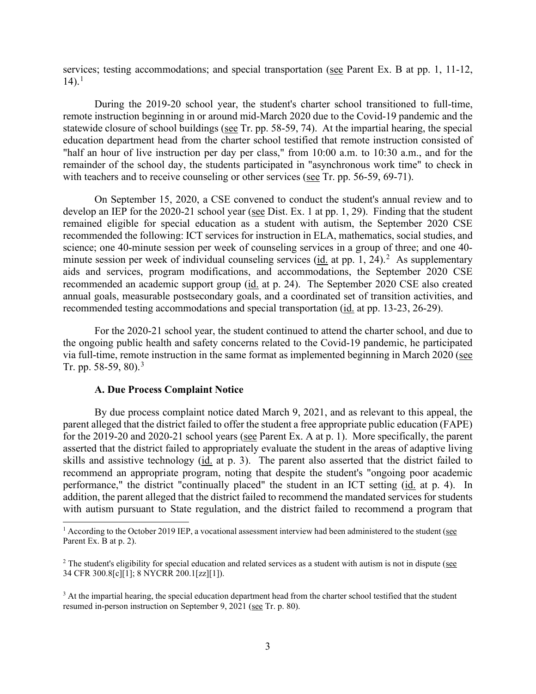services; testing accommodations; and special transportation (see Parent Ex. B at pp. 1, 11-12,  $14$ ).<sup>1</sup>

statewide closure of school buildings (see Tr. pp. 58-59, 74). At the impartial hearing, the special education department head from the charter school testified that remote instruction consisted of remainder of the school day, the students participated in "asynchronous work time" to check in with teachers and to receive counseling or other services (see Tr. pp. 56-59, 69-71). During the 2019-20 school year, the student's charter school transitioned to full-time, remote instruction beginning in or around mid-March 2020 due to the Covid-19 pandemic and the "half an hour of live instruction per day per class," from 10:00 a.m. to 10:30 a.m., and for the

develop an IEP for the 2020-21 school year (see Dist. Ex. 1 at pp. 1, 29). Finding that the student minute session per week of individual counseling services  $(id.$  at pp. 1, [2](#page-2-1)4).<sup>2</sup> As supplementary recommended an academic support group (id. at p. 24). The September 2020 CSE also created recommended testing accommodations and special transportation (id. at pp. 13-23, 26-29). On September 15, 2020, a CSE convened to conduct the student's annual review and to remained eligible for special education as a student with autism, the September 2020 CSE recommended the following: ICT services for instruction in ELA, mathematics, social studies, and science; one 40-minute session per week of counseling services in a group of three; and one 40 aids and services, program modifications, and accommodations, the September 2020 CSE annual goals, measurable postsecondary goals, and a coordinated set of transition activities, and

via full-time, remote instruction in the same format as implemented beginning in March 2020 (see For the 2020-21 school year, the student continued to attend the charter school, and due to the ongoing public health and safety concerns related to the Covid-19 pandemic, he participated Tr. pp. 58-59, 80).<sup>3</sup>

### **A. Due Process Complaint Notice**

for the 2019-20 and 2020-21 school years (see Parent Ex. A at p. 1). More specifically, the parent skills and assistive technology (id. at p. 3). The parent also asserted that the district failed to By due process complaint notice dated March 9, 2021, and as relevant to this appeal, the parent alleged that the district failed to offer the student a free appropriate public education (FAPE) asserted that the district failed to appropriately evaluate the student in the areas of adaptive living recommend an appropriate program, noting that despite the student's "ongoing poor academic performance," the district "continually placed" the student in an ICT setting (id. at p. 4). In addition, the parent alleged that the district failed to recommend the mandated services for students with autism pursuant to State regulation, and the district failed to recommend a program that

<span id="page-2-0"></span> $1$  According to the October 2019 IEP, a vocational assessment interview had been administered to the student (see Parent Ex. B at p. 2).

<span id="page-2-1"></span> $2$  The student's eligibility for special education and related services as a student with autism is not in dispute (see 34 CFR 300.8[c][1]; 8 NYCRR 200.1[zz][1]).

<span id="page-2-2"></span>resumed in-person instruction on September 9, 2021 (see Tr. p. 80). <sup>3</sup> At the impartial hearing, the special education department head from the charter school testified that the student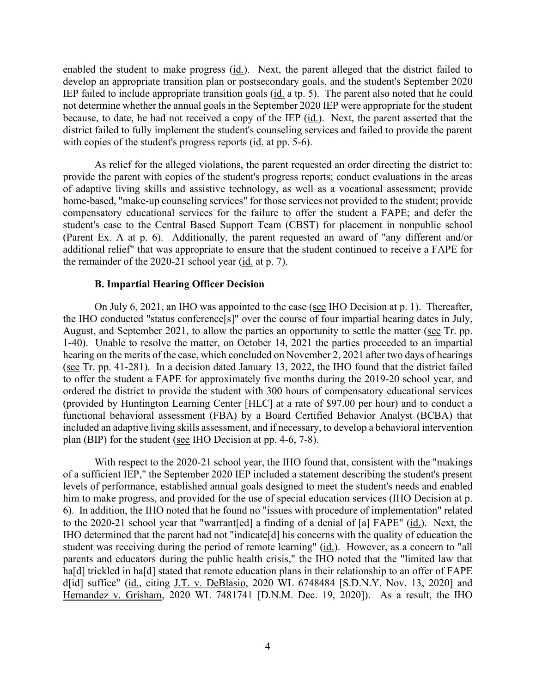develop an appropriate transition plan or postsecondary goals, and the student's September 2020 because, to date, he had not received a copy of the IEP (id.). Next, the parent asserted that the with copies of the student's progress reports (*id.* at pp. 5-6). enabled the student to make progress (id.). Next, the parent alleged that the district failed to IEP failed to include appropriate transition goals (id. a tp. 5). The parent also noted that he could not determine whether the annual goals in the September 2020 IEP were appropriate for the student district failed to fully implement the student's counseling services and failed to provide the parent

 As relief for the alleged violations, the parent requested an order directing the district to: provide the parent with copies of the student's progress reports; conduct evaluations in the areas additional relief" that was appropriate to ensure that the student continued to receive a FAPE for the remainder of the  $2020-21$  school year ( $\underline{\text{id}}$  at p. 7). of adaptive living skills and assistive technology, as well as a vocational assessment; provide home-based, "make-up counseling services" for those services not provided to the student; provide compensatory educational services for the failure to offer the student a FAPE; and defer the student's case to the Central Based Support Team (CBST) for placement in nonpublic school (Parent Ex. A at p. 6). Additionally, the parent requested an award of "any different and/or

#### **B. Impartial Hearing Officer Decision**

 to offer the student a FAPE for approximately five months during the 2019-20 school year, and functional behavioral assessment (FBA) by a Board Certified Behavior Analyst (BCBA) that plan (BIP) for the student (see IHO Decision at pp. 4-6, 7-8). On July 6, 2021, an IHO was appointed to the case (see IHO Decision at p. 1). Thereafter, the IHO conducted "status conference[s]" over the course of four impartial hearing dates in July, August, and September 2021, to allow the parties an opportunity to settle the matter (see Tr. pp. 1-40). Unable to resolve the matter, on October 14, 2021 the parties proceeded to an impartial hearing on the merits of the case, which concluded on November 2, 2021 after two days of hearings (see Tr. pp. 41-281). In a decision dated January 13, 2022, the IHO found that the district failed ordered the district to provide the student with 300 hours of compensatory educational services (provided by Huntington Learning Center [HLC] at a rate of \$97.00 per hour) and to conduct a included an adaptive living skills assessment, and if necessary, to develop a behavioral intervention

 6). In addition, the IHO noted that he found no "issues with procedure of implementation" related to the 2020-21 school year that "warrant[ed] a finding of a denial of [a] FAPE" (id.). Next, the student was receiving during the period of remote learning" (*id.*). However, as a concern to "all ha[d] trickled in ha[d] stated that remote education plans in their relationship to an offer of FAPE With respect to the 2020-21 school year, the IHO found that, consistent with the "makings of a sufficient IEP," the September 2020 IEP included a statement describing the student's present levels of performance, established annual goals designed to meet the student's needs and enabled him to make progress, and provided for the use of special education services (IHO Decision at p. IHO determined that the parent had not "indicate[d] his concerns with the quality of education the parents and educators during the public health crisis," the IHO noted that the "limited law that d[id] suffice" (id., citing J.T. v. DeBlasio, 2020 WL 6748484 [S.D.N.Y. Nov. 13, 2020] and Hernandez v. Grisham, 2020 WL 7481741 [D.N.M. Dec. 19, 2020]). As a result, the IHO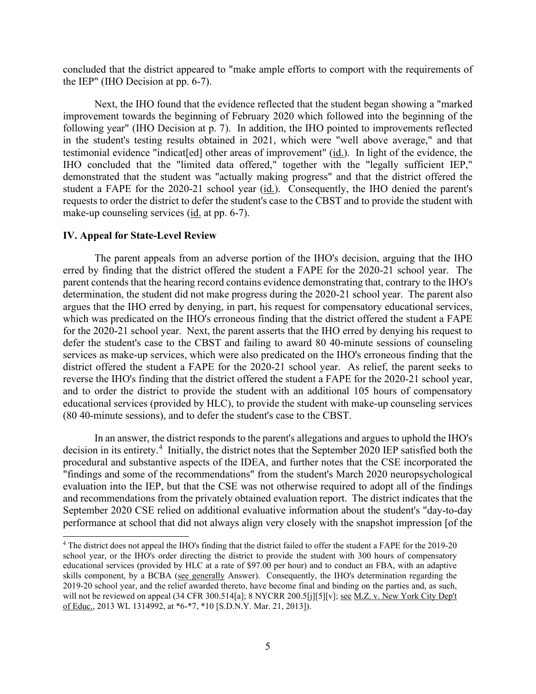concluded that the district appeared to "make ample efforts to comport with the requirements of the IEP" (IHO Decision at pp. 6-7).

testimonial evidence "indicat[ed] other areas of improvement" (*id.*). In light of the evidence, the student a FAPE for the 2020-21 school year (*id.*). Consequently, the IHO denied the parent's make-up counseling services (*id.* at pp. 6-7). Next, the IHO found that the evidence reflected that the student began showing a "marked improvement towards the beginning of February 2020 which followed into the beginning of the following year" (IHO Decision at p. 7). In addition, the IHO pointed to improvements reflected in the student's testing results obtained in 2021, which were "well above average," and that IHO concluded that the "limited data offered," together with the "legally sufficient IEP," demonstrated that the student was "actually making progress" and that the district offered the requests to order the district to defer the student's case to the CBST and to provide the student with

#### **IV. Appeal for State-Level Review**

 erred by finding that the district offered the student a FAPE for the 2020-21 school year. The parent contends that the hearing record contains evidence demonstrating that, contrary to the IHO's determination, the student did not make progress during the 2020-21 school year. The parent also which was predicated on the IHO's erroneous finding that the district offered the student a FAPE for the 2020-21 school year. Next, the parent asserts that the IHO erred by denying his request to services as make-up services, which were also predicated on the IHO's erroneous finding that the district offered the student a FAPE for the 2020-21 school year. As relief, the parent seeks to The parent appeals from an adverse portion of the IHO's decision, arguing that the IHO argues that the IHO erred by denying, in part, his request for compensatory educational services, defer the student's case to the CBST and failing to award 80 40-minute sessions of counseling reverse the IHO's finding that the district offered the student a FAPE for the 2020-21 school year, and to order the district to provide the student with an additional 105 hours of compensatory educational services (provided by HLC), to provide the student with make-up counseling services (80 40-minute sessions), and to defer the student's case to the CBST.

decision in its entirety.<sup>4</sup> Initially, the district notes that the September 2020 IEP satisfied both the In an answer, the district responds to the parent's allegations and argues to uphold the IHO's procedural and substantive aspects of the IDEA, and further notes that the CSE incorporated the "findings and some of the recommendations" from the student's March 2020 neuropsychological evaluation into the IEP, but that the CSE was not otherwise required to adopt all of the findings and recommendations from the privately obtained evaluation report. The district indicates that the September 2020 CSE relied on additional evaluative information about the student's "day-to-day performance at school that did not always align very closely with the snapshot impression [of the

<span id="page-4-0"></span> school year, or the IHO's order directing the district to provide the student with 300 hours of compensatory skills component, by a BCBA (see generally Answer). Consequently, the IHO's determination regarding the 4 The district does not appeal the IHO's finding that the district failed to offer the student a FAPE for the 2019-20 educational services (provided by HLC at a rate of \$97.00 per hour) and to conduct an FBA, with an adaptive 2019-20 school year, and the relief awarded thereto, have become final and binding on the parties and, as such, will not be reviewed on appeal (34 CFR 300.514[a]; 8 NYCRR 200.5[j][5][v]; see M.Z. v. New York City Dep't of Educ., 2013 WL 1314992, at \*6-\*7, \*10 [S.D.N.Y. Mar. 21, 2013]).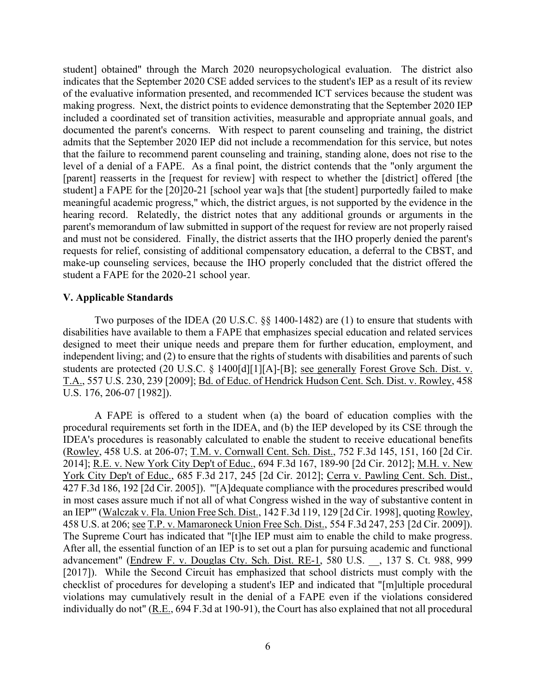student] obtained" through the March 2020 neuropsychological evaluation. The district also level of a denial of a FAPE. As a final point, the district contends that the "only argument the [parent] reasserts in the [request for review] with respect to whether the [district] offered [the hearing record. Relatedly, the district notes that any additional grounds or arguments in the parent's memorandum of law submitted in support of the request for review are not properly raised and must not be considered. Finally, the district asserts that the IHO properly denied the parent's make-up counseling services, because the IHO properly concluded that the district offered the indicates that the September 2020 CSE added services to the student's IEP as a result of its review of the evaluative information presented, and recommended ICT services because the student was making progress. Next, the district points to evidence demonstrating that the September 2020 IEP included a coordinated set of transition activities, measurable and appropriate annual goals, and documented the parent's concerns. With respect to parent counseling and training, the district admits that the September 2020 IEP did not include a recommendation for this service, but notes that the failure to recommend parent counseling and training, standing alone, does not rise to the student] a FAPE for the [20]20-21 [school year wa]s that [the student] purportedly failed to make meaningful academic progress," which, the district argues, is not supported by the evidence in the requests for relief, consisting of additional compensatory education, a deferral to the CBST, and student a FAPE for the 2020-21 school year.

## **V. Applicable Standards**

Two purposes of the IDEA (20 U.S.C. §§ 1400-1482) are (1) to ensure that students with disabilities have available to them a FAPE that emphasizes special education and related services designed to meet their unique needs and prepare them for further education, employment, and independent living; and (2) to ensure that the rights of students with disabilities and parents of such students are protected (20 U.S.C. § 1400[d][1][A]-[B]; see generally Forest Grove Sch. Dist. v. T.A., 557 U.S. 230, 239 [2009]; Bd. of Educ. of Hendrick Hudson Cent. Sch. Dist. v. Rowley, 458 U.S. 176, 206-07 [1982]).

 A FAPE is offered to a student when (a) the board of education complies with the 2014]; <u>R.E. v. New York City Dep't of Educ.</u>, 694 F.3d 167, 189-90 [2d Cir. 2012]; <u>M.H. v. New</u> 458 U.S. at 206; see T.P. v. Mamaroneck Union Free Sch. Dist., 554 F.3d 247, 253 [2d Cir. 2009]). procedural requirements set forth in the IDEA, and (b) the IEP developed by its CSE through the IDEA's procedures is reasonably calculated to enable the student to receive educational benefits (Rowley, 458 U.S. at 206-07; T.M. v. Cornwall Cent. Sch. Dist., 752 F.3d 145, 151, 160 [2d Cir. York City Dep't of Educ., 685 F.3d 217, 245 [2d Cir. 2012]; Cerra v. Pawling Cent. Sch. Dist., 427 F.3d 186, 192 [2d Cir. 2005]). "'[A]dequate compliance with the procedures prescribed would in most cases assure much if not all of what Congress wished in the way of substantive content in an IEP'" (Walczak v. Fla. Union Free Sch. Dist., 142 F.3d 119, 129 [2d Cir. 1998], quoting Rowley, 458 U.S. at 206; <u>see T.P. v. Mamaroneck Union Free Sch. Dist.</u>, 554 F.3d 247, 253 [2d Cir. 2009]).<br>The Supreme Court has indicated that "[t]he IEP must aim to enable the child to make progress.<br>After all, the essential fu advancement" (Endrew F. v. Douglas Cty. Sch. Dist. RE-1, 580 U.S. \_\_, 137 S. Ct. 988, 999 [2017]). While the Second Circuit has emphasized that school districts must comply with the checklist of procedures for developing a student's IEP and indicated that "[m]ultiple procedural violations may cumulatively result in the denial of a FAPE even if the violations considered individually do not" (R.E., 694 F.3d at 190-91), the Court has also explained that not all procedural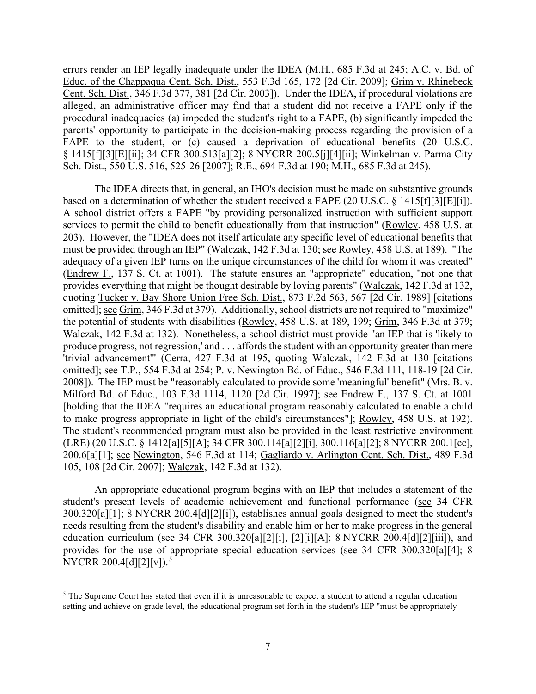errors render an IEP legally inadequate under the IDEA (M.H., 685 F.3d at 245; A.C. v. Bd. of parents' opportunity to participate in the decision-making process regarding the provision of a Educ. of the Chappaqua Cent. Sch. Dist., 553 F.3d 165, 172 [2d Cir. 2009]; Grim v. Rhinebeck Cent. Sch. Dist., 346 F.3d 377, 381 [2d Cir. 2003]). Under the IDEA, if procedural violations are alleged, an administrative officer may find that a student did not receive a FAPE only if the procedural inadequacies (a) impeded the student's right to a FAPE, (b) significantly impeded the FAPE to the student, or (c) caused a deprivation of educational benefits (20 U.S.C. § 1415[f][3][E][ii]; 34 CFR 300.513[a][2]; 8 NYCRR 200.5[j][4][ii]; Winkelman v. Parma City Sch. Dist., 550 U.S. 516, 525-26 [2007]; R.E., 694 F.3d at 190; M.H., 685 F.3d at 245).

based on a determination of whether the student received a FAPE  $(20 \text{ U.S.C.} \S 1415 \text{ [f]} \S \text{ [E]} \text{ [i]}).$  adequacy of a given IEP turns on the unique circumstances of the child for whom it was created" produce progress, not regression,' and . . . affords the student with an opportunity greater than mere omitted]; <u>see T.P.</u>, 554 F.3d at 254; <u>P. v. Newington Bd. of Educ.</u>, 546 F.3d 111, 118-19 [2d Cir. 200.6[a][1]; see Newington, 546 F.3d at 114; Gagliardo v. Arlington Cent. Sch. Dist., 489 F.3d The IDEA directs that, in general, an IHO's decision must be made on substantive grounds A school district offers a FAPE "by providing personalized instruction with sufficient support services to permit the child to benefit educationally from that instruction" (Rowley, 458 U.S. at 203). However, the "IDEA does not itself articulate any specific level of educational benefits that must be provided through an IEP" (Walczak, 142 F.3d at 130; see Rowley, 458 U.S. at 189). "The (Endrew F., 137 S. Ct. at 1001). The statute ensures an "appropriate" education, "not one that provides everything that might be thought desirable by loving parents" (Walczak, 142 F.3d at 132, quoting Tucker v. Bay Shore Union Free Sch. Dist., 873 F.2d 563, 567 [2d Cir. 1989] [citations omitted]; see Grim, 346 F.3d at 379). Additionally, school districts are not required to "maximize" the potential of students with disabilities (Rowley, 458 U.S. at 189, 199; Grim, 346 F.3d at 379; Walczak, 142 F.3d at 132). Nonetheless, a school district must provide "an IEP that is 'likely to 'trivial advancement'" (Cerra, 427 F.3d at 195, quoting Walczak, 142 F.3d at 130 [citations 2008]). The IEP must be "reasonably calculated to provide some 'meaningful' benefit" (Mrs. B. v. Milford Bd. of Educ., 103 F.3d 1114, 1120 [2d Cir. 1997]; see Endrew F., 137 S. Ct. at 1001 [holding that the IDEA "requires an educational program reasonably calculated to enable a child to make progress appropriate in light of the child's circumstances"]; Rowley, 458 U.S. at 192). The student's recommended program must also be provided in the least restrictive environment (LRE) (20 U.S.C. § 1412[a][5][A]; 34 CFR 300.114[a][2][i], 300.116[a][2]; 8 NYCRR 200.1[cc], 105, 108 [2d Cir. 2007]; Walczak, 142 F.3d at 132).

An appropriate educational program begins with an IEP that includes a statement of the student's present levels of academic achievement and functional performance (see 34 CFR 300.320[a][1]; 8 NYCRR 200.4[d][2][i]), establishes annual goals designed to meet the student's needs resulting from the student's disability and enable him or her to make progress in the general education curriculum (see 34 CFR 300.320[a][2][i], [2][i][A]; 8 NYCRR 200.4[d][2][iii]), and provides for the use of appropriate special education services (see 34 CFR 300.320[a][4]; 8 NYCRR 200.4[d][2][v]).<sup>5</sup>

<span id="page-6-0"></span> setting and achieve on grade level, the educational program set forth in the student's IEP "must be appropriately  $<sup>5</sup>$  The Supreme Court has stated that even if it is unreasonable to expect a student to attend a regular education</sup>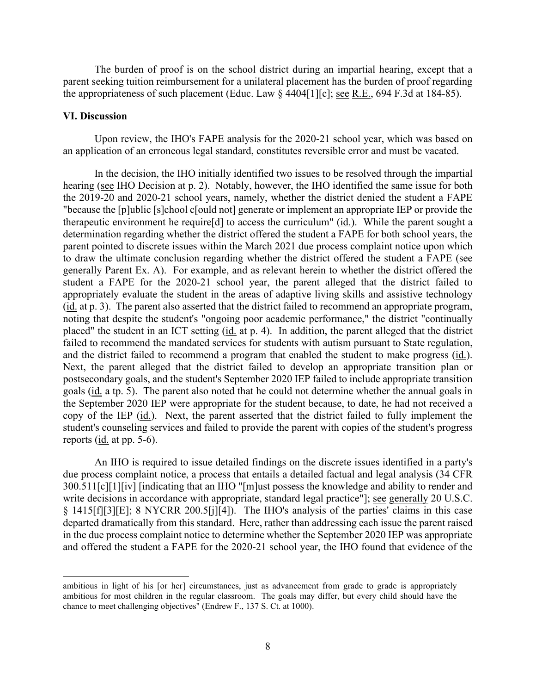the appropriateness of such placement (Educ. Law  $\S$  4404[1][c]; <u>see R.E.</u>, 694 F.3d at 184-85). The burden of proof is on the school district during an impartial hearing, except that a parent seeking tuition reimbursement for a unilateral placement has the burden of proof regarding

#### **VI. Discussion**

Upon review, the IHO's FAPE analysis for the 2020-21 school year, which was based on an application of an erroneous legal standard, constitutes reversible error and must be vacated.

 In the decision, the IHO initially identified two issues to be resolved through the impartial hearing (see IHO Decision at p. 2). Notably, however, the IHO identified the same issue for both "because the [p]ublic [s]chool c[ould not] generate or implement an appropriate IEP or provide the therapeutic environment he require[d] to access the curriculum" (id.). While the parent sought a parent pointed to discrete issues within the March 2021 due process complaint notice upon which to draw the ultimate conclusion regarding whether the district offered the student a FAPE (see and the district failed to recommend a program that enabled the student to make progress (id.). the September 2020 IEP were appropriate for the student because, to date, he had not received a copy of the IEP (id.). Next, the parent asserted that the district failed to fully implement the reports ( $\underline{\text{id}}$  at pp. 5-6). the 2019-20 and 2020-21 school years, namely, whether the district denied the student a FAPE determination regarding whether the district offered the student a FAPE for both school years, the generally Parent Ex. A). For example, and as relevant herein to whether the district offered the student a FAPE for the 2020-21 school year, the parent alleged that the district failed to appropriately evaluate the student in the areas of adaptive living skills and assistive technology (id. at p. 3). The parent also asserted that the district failed to recommend an appropriate program, noting that despite the student's "ongoing poor academic performance," the district "continually placed" the student in an ICT setting (id. at p. 4). In addition, the parent alleged that the district failed to recommend the mandated services for students with autism pursuant to State regulation, Next, the parent alleged that the district failed to develop an appropriate transition plan or postsecondary goals, and the student's September 2020 IEP failed to include appropriate transition goals (id. a tp. 5). The parent also noted that he could not determine whether the annual goals in student's counseling services and failed to provide the parent with copies of the student's progress

write decisions in accordance with appropriate, standard legal practice"]; see generally 20 U.S.C. § 1415[f][3][E]; 8 NYCRR 200.5[j][4]). The IHO's analysis of the parties' claims in this case departed dramatically from this standard. Here, rather than addressing each issue the parent raised An IHO is required to issue detailed findings on the discrete issues identified in a party's due process complaint notice, a process that entails a detailed factual and legal analysis (34 CFR 300.511[c][1][iv] [indicating that an IHO "[m]ust possess the knowledge and ability to render and in the due process complaint notice to determine whether the September 2020 IEP was appropriate and offered the student a FAPE for the 2020-21 school year, the IHO found that evidence of the

ambitious in light of his [or her] circumstances, just as advancement from grade to grade is appropriately ambitious for most children in the regular classroom. The goals may differ, but every child should have the chance to meet challenging objectives" (Endrew F., 137 S. Ct. at 1000).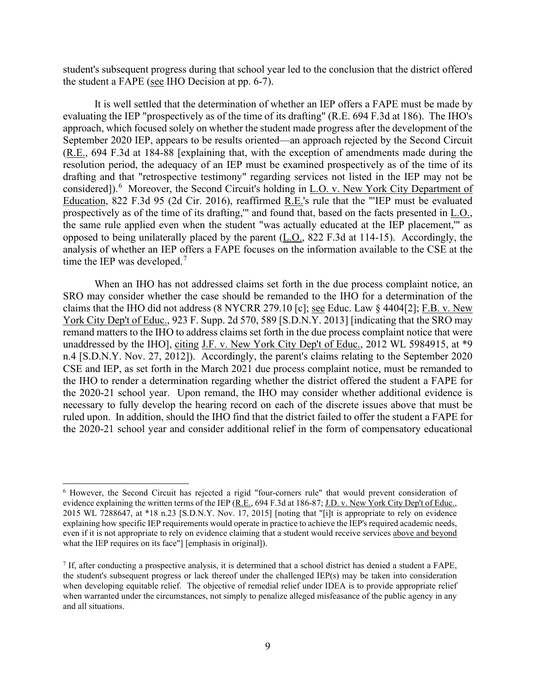student's subsequent progress during that school year led to the conclusion that the district offered the student a FAPE ( $\frac{\text{see}}{\text{H}}$  IHO Decision at pp. 6-7).

 It is well settled that the determination of whether an IEP offers a FAPE must be made by evaluating the IEP "prospectively as of the time of its drafting" (R.E. 694 F.3d at 186). The IHO's approach, which focused solely on whether the student made progress after the development of the considered]).<sup>6</sup> Moreover, the Second Circuit's holding in L.O. v. New York City Department of the same rule applied even when the student "was actually educated at the IEP placement,'" as time the IEP was developed.<sup>7</sup> September 2020 IEP, appears to be results oriented—an approach rejected by the Second Circuit (R.E., 694 F.3d at 184-88 [explaining that, with the exception of amendments made during the resolution period, the adequacy of an IEP must be examined prospectively as of the time of its drafting and that "retrospective testimony" regarding services not listed in the IEP may not be Education, 822 F.3d 95 (2d Cir. 2016), reaffirmed R.E.'s rule that the "'IEP must be evaluated prospectively as of the time of its drafting," and found that, based on the facts presented in L.O., opposed to being unilaterally placed by the parent (L.O., 822 F.3d at 114-15). Accordingly, the analysis of whether an IEP offers a FAPE focuses on the information available to the CSE at the

claims that the IHO did not address  $(8 \text{ NYCRR } 279.10 \text{ [c]}; \text{see}$  Educ. Law  $\S$  4404[2]; F.B. v. New the 2020-21 school year. Upon remand, the IHO may consider whether additional evidence is ruled upon. In addition, should the IHO find that the district failed to offer the student a FAPE for When an IHO has not addressed claims set forth in the due process complaint notice, an SRO may consider whether the case should be remanded to the IHO for a determination of the York City Dep't of Educ., 923 F. Supp. 2d 570, 589 [S.D.N.Y. 2013] [indicating that the SRO may remand matters to the IHO to address claims set forth in the due process complaint notice that were unaddressed by the IHO], citing J.F. v. New York City Dep't of Educ., 2012 WL 5984915, at \*9 n.4 [S.D.N.Y. Nov. 27, 2012]). Accordingly, the parent's claims relating to the September 2020 CSE and IEP, as set forth in the March 2021 due process complaint notice, must be remanded to the IHO to render a determination regarding whether the district offered the student a FAPE for necessary to fully develop the hearing record on each of the discrete issues above that must be the 2020-21 school year and consider additional relief in the form of compensatory educational

<span id="page-8-0"></span> 2015 WL 7288647, at \*18 n.23 [S.D.N.Y. Nov. 17, 2015] [noting that "[i]t is appropriate to rely on evidence 6 However, the Second Circuit has rejected a rigid "four-corners rule" that would prevent consideration of evidence explaining the written terms of the IEP (R.E., 694 F.3d at 186-87; J.D. v. New York City Dep't of Educ., explaining how specific IEP requirements would operate in practice to achieve the IEP's required academic needs, even if it is not appropriate to rely on evidence claiming that a student would receive services above and beyond what the IEP requires on its face"] [emphasis in original]).

<span id="page-8-1"></span> when developing equitable relief. The objective of remedial relief under IDEA is to provide appropriate relief  $7$  If, after conducting a prospective analysis, it is determined that a school district has denied a student a FAPE, the student's subsequent progress or lack thereof under the challenged IEP(s) may be taken into consideration when warranted under the circumstances, not simply to penalize alleged misfeasance of the public agency in any and all situations.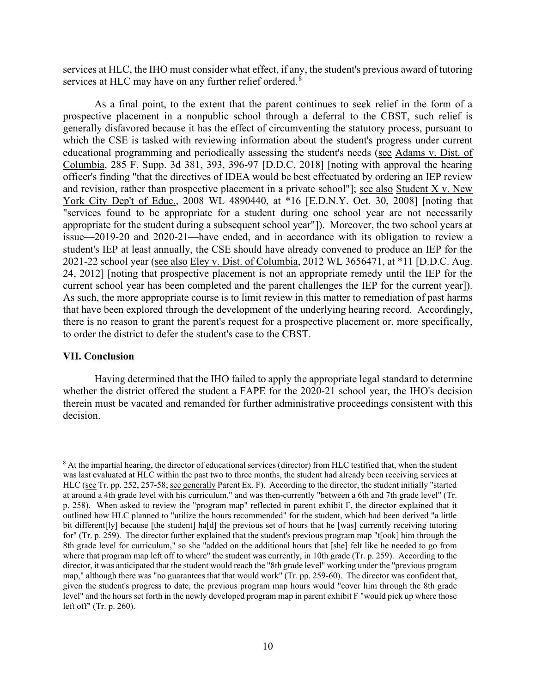services at HLC, the IHO must consider what effect, if any, the student's previous award of tutoring services at HLC may have on any further relief ordered.<sup>[8](#page-9-0)</sup>

 officer's finding "that the directives of IDEA would be best effectuated by ordering an IEP review current school year has been completed and the parent challenges the IEP for the current year]). As a final point, to the extent that the parent continues to seek relief in the form of a prospective placement in a nonpublic school through a deferral to the CBST, such relief is generally disfavored because it has the effect of circumventing the statutory process, pursuant to which the CSE is tasked with reviewing information about the student's progress under current educational programming and periodically assessing the student's needs (see Adams v. Dist. of Columbia, 285 F. Supp. 3d 381, 393, 396-97 [D.D.C. 2018] [noting with approval the hearing and revision, rather than prospective placement in a private school"]; see also Student X v. New York City Dep't of Educ., 2008 WL 4890440, at \*16 [E.D.N.Y. Oct. 30, 2008] [noting that "services found to be appropriate for a student during one school year are not necessarily appropriate for the student during a subsequent school year"]). Moreover, the two school years at issue—2019-20 and 2020-21—have ended, and in accordance with its obligation to review a student's IEP at least annually, the CSE should have already convened to produce an IEP for the 2021-22 school year (see also Eley v. Dist. of Columbia, 2012 WL 3656471, at \*11 [D.D.C. Aug. 24, 2012] [noting that prospective placement is not an appropriate remedy until the IEP for the As such, the more appropriate course is to limit review in this matter to remediation of past harms that have been explored through the development of the underlying hearing record. Accordingly, there is no reason to grant the parent's request for a prospective placement or, more specifically, to order the district to defer the student's case to the CBST.

### **VII. Conclusion**

 whether the district offered the student a FAPE for the 2020-21 school year, the IHO's decision Having determined that the IHO failed to apply the appropriate legal standard to determine therein must be vacated and remanded for further administrative proceedings consistent with this decision.

<span id="page-9-0"></span>HLC (see Tr. pp. 252, 257-58; see generally Parent Ex. F). According to the director, the student initially "started p. 258). When asked to review the "program map" reflected in parent exhibit F, the director explained that it for" (Tr. p. 259). The director further explained that the student's previous program map "t[ook] him through the where that program map left off to where" the student was currently, in 10th grade (Tr. p. 259). According to the <sup>8</sup> At the impartial hearing, the director of educational services (director) from HLC testified that, when the student was last evaluated at HLC within the past two to three months, the student had already been receiving services at at around a 4th grade level with his curriculum," and was then-currently "between a 6th and 7th grade level" (Tr. outlined how HLC planned to "utilize the hours recommended" for the student, which had been derived "a little bit different[ly] because [the student] ha[d] the previous set of hours that he [was] currently receiving tutoring 8th grade level for curriculum," so she "added on the additional hours that [she] felt like he needed to go from director, it was anticipated that the student would reach the "8th grade level" working under the "previous program map," although there was "no guarantees that that would work" (Tr. pp. 259-60). The director was confident that, given the student's progress to date, the previous program map hours would "cover him through the 8th grade level" and the hours set forth in the newly developed program map in parent exhibit F "would pick up where those left off" (Tr. p. 260).